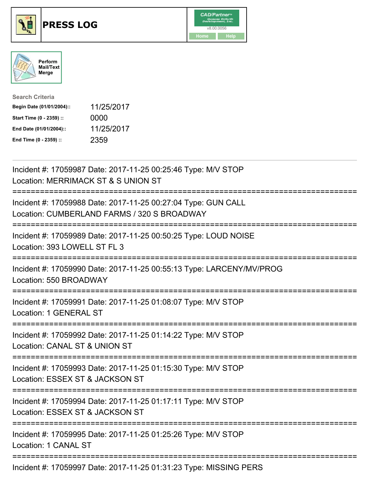

## **PRESS LOG** v8.00.0056





| <b>Search Criteria</b>    |            |
|---------------------------|------------|
| Begin Date (01/01/2004):: | 11/25/2017 |
| Start Time (0 - 2359) ::  | 0000       |
| End Date (01/01/2004)::   | 11/25/2017 |
| End Time (0 - 2359) ::    | 2359       |

Incident #: 17059987 Date: 2017-11-25 00:25:46 Type: M/V STOP Location: MERRIMACK ST & S UNION ST =========================================================================== Incident #: 17059988 Date: 2017-11-25 00:27:04 Type: GUN CALL Location: CUMBERLAND FARMS / 320 S BROADWAY =========================================================================== Incident #: 17059989 Date: 2017-11-25 00:50:25 Type: LOUD NOISE Location: 393 LOWELL ST FL 3 =========================================================================== Incident #: 17059990 Date: 2017-11-25 00:55:13 Type: LARCENY/MV/PROG Location: 550 BROADWAY =========================================================================== Incident #: 17059991 Date: 2017-11-25 01:08:07 Type: M/V STOP Location: 1 GENERAL ST =========================================================================== Incident #: 17059992 Date: 2017-11-25 01:14:22 Type: M/V STOP Location: CANAL ST & UNION ST =========================================================================== Incident #: 17059993 Date: 2017-11-25 01:15:30 Type: M/V STOP Location: ESSEX ST & JACKSON ST =========================================================================== Incident #: 17059994 Date: 2017-11-25 01:17:11 Type: M/V STOP Location: ESSEX ST & JACKSON ST =========================================================================== Incident #: 17059995 Date: 2017-11-25 01:25:26 Type: M/V STOP Location: 1 CANAL ST =========================================================================== Incident #: 17059997 Date: 2017-11-25 01:31:23 Type: MISSING PERS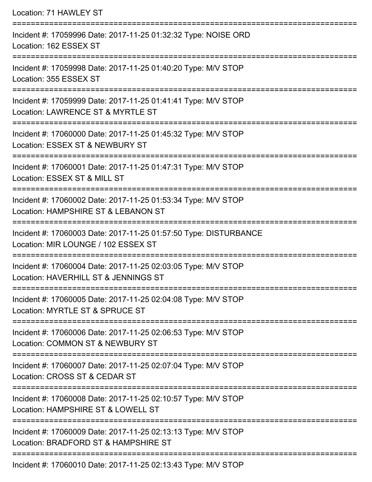| Location: 71 HAWLEY ST                                                                                                   |
|--------------------------------------------------------------------------------------------------------------------------|
| Incident #: 17059996 Date: 2017-11-25 01:32:32 Type: NOISE ORD<br>Location: 162 ESSEX ST                                 |
| Incident #: 17059998 Date: 2017-11-25 01:40:20 Type: M/V STOP<br>Location: 355 ESSEX ST<br>============================= |
| Incident #: 17059999 Date: 2017-11-25 01:41:41 Type: M/V STOP<br>Location: LAWRENCE ST & MYRTLE ST                       |
| Incident #: 17060000 Date: 2017-11-25 01:45:32 Type: M/V STOP<br>Location: ESSEX ST & NEWBURY ST                         |
| Incident #: 17060001 Date: 2017-11-25 01:47:31 Type: M/V STOP<br>Location: ESSEX ST & MILL ST                            |
| Incident #: 17060002 Date: 2017-11-25 01:53:34 Type: M/V STOP<br>Location: HAMPSHIRE ST & LEBANON ST                     |
| Incident #: 17060003 Date: 2017-11-25 01:57:50 Type: DISTURBANCE<br>Location: MIR LOUNGE / 102 ESSEX ST                  |
| Incident #: 17060004 Date: 2017-11-25 02:03:05 Type: M/V STOP<br>Location: HAVERHILL ST & JENNINGS ST                    |
| Incident #: 17060005 Date: 2017-11-25 02:04:08 Type: M/V STOP<br>Location: MYRTLE ST & SPRUCE ST                         |
| Incident #: 17060006 Date: 2017-11-25 02:06:53 Type: M/V STOP<br>Location: COMMON ST & NEWBURY ST                        |
| Incident #: 17060007 Date: 2017-11-25 02:07:04 Type: M/V STOP<br>Location: CROSS ST & CEDAR ST                           |
| Incident #: 17060008 Date: 2017-11-25 02:10:57 Type: M/V STOP<br>Location: HAMPSHIRE ST & LOWELL ST                      |
| Incident #: 17060009 Date: 2017-11-25 02:13:13 Type: M/V STOP<br>Location: BRADFORD ST & HAMPSHIRE ST                    |
|                                                                                                                          |

Incident #: 17060010 Date: 2017-11-25 02:13:43 Type: M/V STOP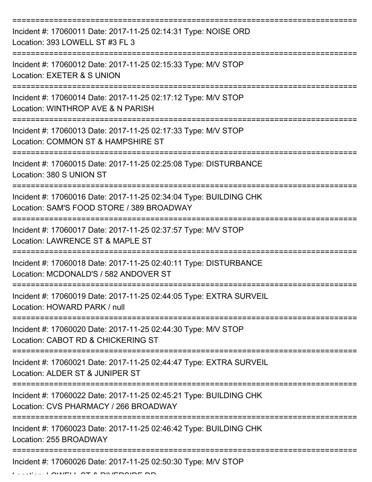| Incident #: 17060011 Date: 2017-11-25 02:14:31 Type: NOISE ORD<br>Location: 393 LOWELL ST #3 FL 3              |
|----------------------------------------------------------------------------------------------------------------|
| Incident #: 17060012 Date: 2017-11-25 02:15:33 Type: M/V STOP<br>Location: EXETER & S UNION                    |
| Incident #: 17060014 Date: 2017-11-25 02:17:12 Type: M/V STOP<br>Location: WINTHROP AVE & N PARISH             |
| Incident #: 17060013 Date: 2017-11-25 02:17:33 Type: M/V STOP<br>Location: COMMON ST & HAMPSHIRE ST            |
| Incident #: 17060015 Date: 2017-11-25 02:25:08 Type: DISTURBANCE<br>Location: 380 S UNION ST                   |
| Incident #: 17060016 Date: 2017-11-25 02:34:04 Type: BUILDING CHK<br>Location: SAM'S FOOD STORE / 389 BROADWAY |
| Incident #: 17060017 Date: 2017-11-25 02:37:57 Type: M/V STOP<br>Location: LAWRENCE ST & MAPLE ST              |
| Incident #: 17060018 Date: 2017-11-25 02:40:11 Type: DISTURBANCE<br>Location: MCDONALD'S / 582 ANDOVER ST      |
| Incident #: 17060019 Date: 2017-11-25 02:44:05 Type: EXTRA SURVEIL<br>Location: HOWARD PARK / null             |
| Incident #: 17060020 Date: 2017-11-25 02:44:30 Type: M/V STOP<br>Location: CABOT RD & CHICKERING ST            |
| Incident #: 17060021 Date: 2017-11-25 02:44:47 Type: EXTRA SURVEIL<br>Location: ALDER ST & JUNIPER ST          |
| Incident #: 17060022 Date: 2017-11-25 02:45:21 Type: BUILDING CHK<br>Location: CVS PHARMACY / 266 BROADWAY     |
| Incident #: 17060023 Date: 2017-11-25 02:46:42 Type: BUILDING CHK<br>Location: 255 BROADWAY                    |
| Incident #: 17060026 Date: 2017-11-25 02:50:30 Type: M/V STOP                                                  |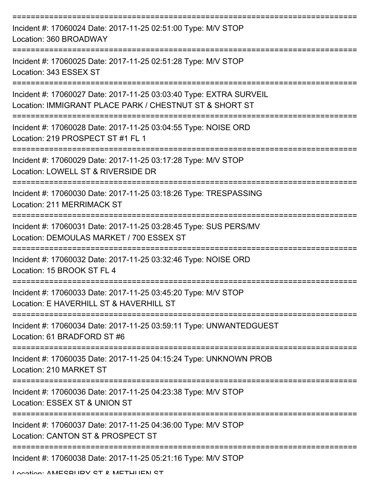| Incident #: 17060024 Date: 2017-11-25 02:51:00 Type: M/V STOP<br>Location: 360 BROADWAY                                       |
|-------------------------------------------------------------------------------------------------------------------------------|
| Incident #: 17060025 Date: 2017-11-25 02:51:28 Type: M/V STOP<br>Location: 343 ESSEX ST                                       |
| Incident #: 17060027 Date: 2017-11-25 03:03:40 Type: EXTRA SURVEIL<br>Location: IMMIGRANT PLACE PARK / CHESTNUT ST & SHORT ST |
| Incident #: 17060028 Date: 2017-11-25 03:04:55 Type: NOISE ORD<br>Location: 219 PROSPECT ST #1 FL 1                           |
| Incident #: 17060029 Date: 2017-11-25 03:17:28 Type: M/V STOP<br>Location: LOWELL ST & RIVERSIDE DR                           |
| Incident #: 17060030 Date: 2017-11-25 03:18:26 Type: TRESPASSING<br>Location: 211 MERRIMACK ST<br>------------                |
| Incident #: 17060031 Date: 2017-11-25 03:28:45 Type: SUS PERS/MV<br>Location: DEMOULAS MARKET / 700 ESSEX ST                  |
| Incident #: 17060032 Date: 2017-11-25 03:32:46 Type: NOISE ORD<br>Location: 15 BROOK ST FL 4                                  |
| Incident #: 17060033 Date: 2017-11-25 03:45:20 Type: M/V STOP<br>Location: E HAVERHILL ST & HAVERHILL ST                      |
| Incident #: 17060034 Date: 2017-11-25 03:59:11 Type: UNWANTEDGUEST<br>Location: 61 BRADFORD ST #6                             |
| Incident #: 17060035 Date: 2017-11-25 04:15:24 Type: UNKNOWN PROB<br>Location: 210 MARKET ST                                  |
| Incident #: 17060036 Date: 2017-11-25 04:23:38 Type: M/V STOP<br>Location: ESSEX ST & UNION ST                                |
| Incident #: 17060037 Date: 2017-11-25 04:36:00 Type: M/V STOP<br>Location: CANTON ST & PROSPECT ST                            |
| Incident #: 17060038 Date: 2017-11-25 05:21:16 Type: M/V STOP                                                                 |

Location: AMESBURY ST & METHUEN ST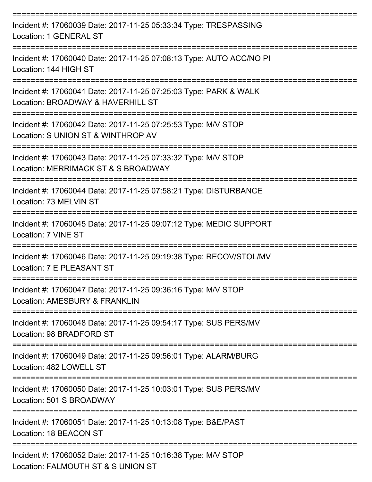| Incident #: 17060039 Date: 2017-11-25 05:33:34 Type: TRESPASSING<br>Location: 1 GENERAL ST            |
|-------------------------------------------------------------------------------------------------------|
| Incident #: 17060040 Date: 2017-11-25 07:08:13 Type: AUTO ACC/NO PI<br>Location: 144 HIGH ST          |
| Incident #: 17060041 Date: 2017-11-25 07:25:03 Type: PARK & WALK<br>Location: BROADWAY & HAVERHILL ST |
| Incident #: 17060042 Date: 2017-11-25 07:25:53 Type: M/V STOP<br>Location: S UNION ST & WINTHROP AV   |
| Incident #: 17060043 Date: 2017-11-25 07:33:32 Type: M/V STOP<br>Location: MERRIMACK ST & S BROADWAY  |
| Incident #: 17060044 Date: 2017-11-25 07:58:21 Type: DISTURBANCE<br>Location: 73 MELVIN ST            |
| Incident #: 17060045 Date: 2017-11-25 09:07:12 Type: MEDIC SUPPORT<br>Location: 7 VINE ST             |
| Incident #: 17060046 Date: 2017-11-25 09:19:38 Type: RECOV/STOL/MV<br>Location: 7 E PLEASANT ST       |
| Incident #: 17060047 Date: 2017-11-25 09:36:16 Type: M/V STOP<br>Location: AMESBURY & FRANKLIN        |
| Incident #: 17060048 Date: 2017-11-25 09:54:17 Type: SUS PERS/MV<br>Location: 98 BRADFORD ST          |
| Incident #: 17060049 Date: 2017-11-25 09:56:01 Type: ALARM/BURG<br>Location: 482 LOWELL ST            |
| Incident #: 17060050 Date: 2017-11-25 10:03:01 Type: SUS PERS/MV<br>Location: 501 S BROADWAY          |
| Incident #: 17060051 Date: 2017-11-25 10:13:08 Type: B&E/PAST<br>Location: 18 BEACON ST               |
| Incident #: 17060052 Date: 2017-11-25 10:16:38 Type: M/V STOP<br>Location: FALMOUTH ST & S UNION ST   |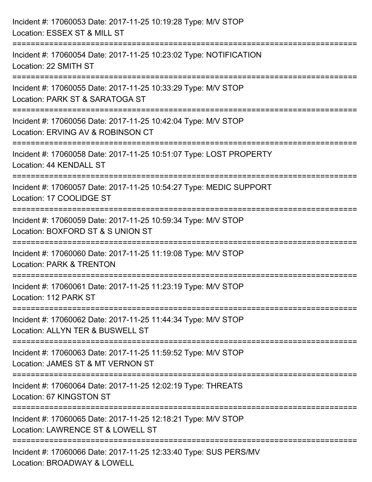| Incident #: 17060053 Date: 2017-11-25 10:19:28 Type: M/V STOP<br>Location: ESSEX ST & MILL ST                                                                   |
|-----------------------------------------------------------------------------------------------------------------------------------------------------------------|
| =======================<br>Incident #: 17060054 Date: 2017-11-25 10:23:02 Type: NOTIFICATION<br>Location: 22 SMITH ST                                           |
| Incident #: 17060055 Date: 2017-11-25 10:33:29 Type: M/V STOP<br>Location: PARK ST & SARATOGA ST<br>===========================                                 |
| Incident #: 17060056 Date: 2017-11-25 10:42:04 Type: M/V STOP<br>Location: ERVING AV & ROBINSON CT<br>;================                                         |
| Incident #: 17060058 Date: 2017-11-25 10:51:07 Type: LOST PROPERTY<br>Location: 44 KENDALL ST                                                                   |
| ==================================<br>=======================<br>Incident #: 17060057 Date: 2017-11-25 10:54:27 Type: MEDIC SUPPORT<br>Location: 17 COOLIDGE ST |
| Incident #: 17060059 Date: 2017-11-25 10:59:34 Type: M/V STOP<br>Location: BOXFORD ST & S UNION ST                                                              |
| Incident #: 17060060 Date: 2017-11-25 11:19:08 Type: M/V STOP<br><b>Location: PARK &amp; TRENTON</b>                                                            |
| Incident #: 17060061 Date: 2017-11-25 11:23:19 Type: M/V STOP<br>Location: 112 PARK ST                                                                          |
| Incident #: 17060062 Date: 2017-11-25 11:44:34 Type: M/V STOP<br>Location: ALLYN TER & BUSWELL ST                                                               |
| Incident #: 17060063 Date: 2017-11-25 11:59:52 Type: M/V STOP<br>Location: JAMES ST & MT VERNON ST                                                              |
| Incident #: 17060064 Date: 2017-11-25 12:02:19 Type: THREATS<br>Location: 67 KINGSTON ST                                                                        |
| Incident #: 17060065 Date: 2017-11-25 12:18:21 Type: M/V STOP<br>Location: LAWRENCE ST & LOWELL ST                                                              |
| Incident #: 17060066 Date: 2017-11-25 12:33:40 Type: SUS PERS/MV<br>Location: BROADWAY & LOWELL                                                                 |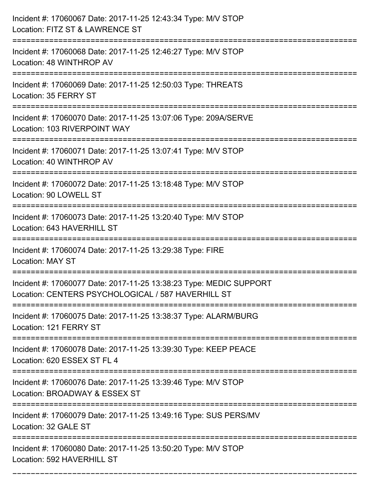| Incident #: 17060067 Date: 2017-11-25 12:43:34 Type: M/V STOP<br>Location: FITZ ST & LAWRENCE ST                                        |
|-----------------------------------------------------------------------------------------------------------------------------------------|
| Incident #: 17060068 Date: 2017-11-25 12:46:27 Type: M/V STOP<br>Location: 48 WINTHROP AV                                               |
| Incident #: 17060069 Date: 2017-11-25 12:50:03 Type: THREATS<br>Location: 35 FERRY ST                                                   |
| Incident #: 17060070 Date: 2017-11-25 13:07:06 Type: 209A/SERVE<br>Location: 103 RIVERPOINT WAY                                         |
| Incident #: 17060071 Date: 2017-11-25 13:07:41 Type: M/V STOP<br>Location: 40 WINTHROP AV                                               |
| Incident #: 17060072 Date: 2017-11-25 13:18:48 Type: M/V STOP<br>Location: 90 LOWELL ST                                                 |
| Incident #: 17060073 Date: 2017-11-25 13:20:40 Type: M/V STOP<br>Location: 643 HAVERHILL ST                                             |
| Incident #: 17060074 Date: 2017-11-25 13:29:38 Type: FIRE<br><b>Location: MAY ST</b>                                                    |
| Incident #: 17060077 Date: 2017-11-25 13:38:23 Type: MEDIC SUPPORT<br>Location: CENTERS PSYCHOLOGICAL / 587 HAVERHILL ST                |
| Incident #: 17060075 Date: 2017-11-25 13:38:37 Type: ALARM/BURG<br>Location: 121 FERRY ST                                               |
| Incident #: 17060078 Date: 2017-11-25 13:39:30 Type: KEEP PEACE<br>Location: 620 ESSEX ST FL 4                                          |
| Incident #: 17060076 Date: 2017-11-25 13:39:46 Type: M/V STOP<br>Location: BROADWAY & ESSEX ST<br>------------------------------------- |
| Incident #: 17060079 Date: 2017-11-25 13:49:16 Type: SUS PERS/MV<br>Location: 32 GALE ST                                                |
| Incident #: 17060080 Date: 2017-11-25 13:50:20 Type: M/V STOP<br>Location: 592 HAVERHILL ST                                             |

===========================================================================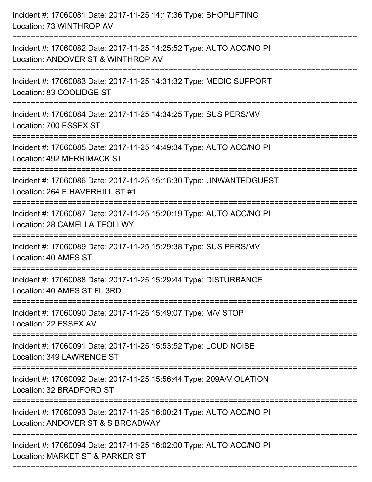| Incident #: 17060081 Date: 2017-11-25 14:17:36 Type: SHOPLIFTING<br>Location: 73 WINTHROP AV                                                                      |
|-------------------------------------------------------------------------------------------------------------------------------------------------------------------|
| Incident #: 17060082 Date: 2017-11-25 14:25:52 Type: AUTO ACC/NO PI<br>Location: ANDOVER ST & WINTHROP AV                                                         |
| Incident #: 17060083 Date: 2017-11-25 14:31:32 Type: MEDIC SUPPORT<br>Location: 83 COOLIDGE ST                                                                    |
| Incident #: 17060084 Date: 2017-11-25 14:34:25 Type: SUS PERS/MV<br>Location: 700 ESSEX ST                                                                        |
| Incident #: 17060085 Date: 2017-11-25 14:49:34 Type: AUTO ACC/NO PI<br>Location: 492 MERRIMACK ST                                                                 |
| Incident #: 17060086 Date: 2017-11-25 15:16:30 Type: UNWANTEDGUEST<br>Location: 264 E HAVERHILL ST #1                                                             |
| Incident #: 17060087 Date: 2017-11-25 15:20:19 Type: AUTO ACC/NO PI<br>Location: 28 CAMELLA TEOLI WY<br>======================================<br>=============== |
| Incident #: 17060089 Date: 2017-11-25 15:29:38 Type: SUS PERS/MV<br>Location: 40 AMES ST                                                                          |
| Incident #: 17060088 Date: 2017-11-25 15:29:44 Type: DISTURBANCE<br>Location: 40 AMES ST FL 3RD                                                                   |
| Incident #: 17060090 Date: 2017-11-25 15:49:07 Type: M/V STOP<br>Location: 22 ESSEX AV                                                                            |
| Incident #: 17060091 Date: 2017-11-25 15:53:52 Type: LOUD NOISE<br>Location: 349 LAWRENCE ST                                                                      |
| Incident #: 17060092 Date: 2017-11-25 15:56:44 Type: 209A/VIOLATION<br>Location: 32 BRADFORD ST                                                                   |
| Incident #: 17060093 Date: 2017-11-25 16:00:21 Type: AUTO ACC/NO PI<br>Location: ANDOVER ST & S BROADWAY                                                          |
| Incident #: 17060094 Date: 2017-11-25 16:02:00 Type: AUTO ACC/NO PI<br>Location: MARKET ST & PARKER ST                                                            |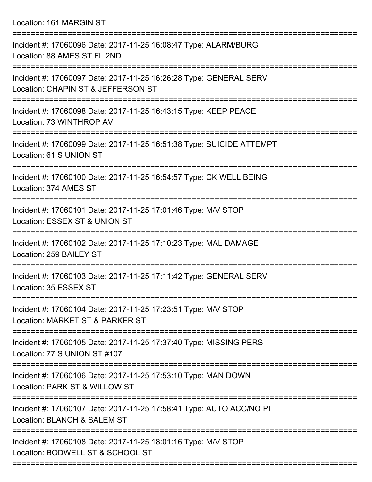Location: 161 MARGIN ST

| Incident #: 17060096 Date: 2017-11-25 16:08:47 Type: ALARM/BURG<br>Location: 88 AMES ST FL 2ND                      |
|---------------------------------------------------------------------------------------------------------------------|
| Incident #: 17060097 Date: 2017-11-25 16:26:28 Type: GENERAL SERV<br>Location: CHAPIN ST & JEFFERSON ST             |
| Incident #: 17060098 Date: 2017-11-25 16:43:15 Type: KEEP PEACE<br>Location: 73 WINTHROP AV                         |
| Incident #: 17060099 Date: 2017-11-25 16:51:38 Type: SUICIDE ATTEMPT<br>Location: 61 S UNION ST                     |
| Incident #: 17060100 Date: 2017-11-25 16:54:57 Type: CK WELL BEING<br>Location: 374 AMES ST                         |
| Incident #: 17060101 Date: 2017-11-25 17:01:46 Type: M/V STOP<br>Location: ESSEX ST & UNION ST                      |
| Incident #: 17060102 Date: 2017-11-25 17:10:23 Type: MAL DAMAGE<br>Location: 259 BAILEY ST                          |
| Incident #: 17060103 Date: 2017-11-25 17:11:42 Type: GENERAL SERV<br>Location: 35 ESSEX ST                          |
| ===============<br>Incident #: 17060104 Date: 2017-11-25 17:23:51 Type: M/V STOP<br>Location: MARKET ST & PARKER ST |
| Incident #: 17060105 Date: 2017-11-25 17:37:40 Type: MISSING PERS<br>Location: 77 S UNION ST #107                   |
| Incident #: 17060106 Date: 2017-11-25 17:53:10 Type: MAN DOWN<br>Location: PARK ST & WILLOW ST                      |
| Incident #: 17060107 Date: 2017-11-25 17:58:41 Type: AUTO ACC/NO PI<br>Location: BLANCH & SALEM ST                  |
| Incident #: 17060108 Date: 2017-11-25 18:01:16 Type: M/V STOP<br>Location: BODWELL ST & SCHOOL ST                   |
|                                                                                                                     |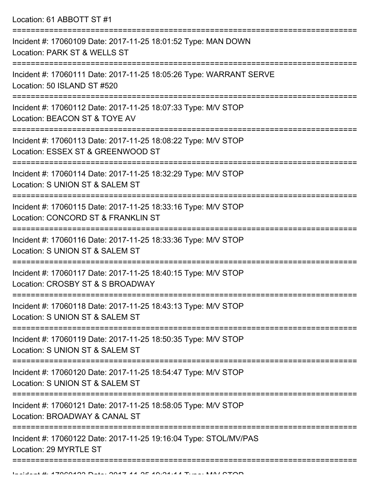Location: 61 ABBOTT ST #1

| Incident #: 17060109 Date: 2017-11-25 18:01:52 Type: MAN DOWN<br>Location: PARK ST & WELLS ST       |
|-----------------------------------------------------------------------------------------------------|
| Incident #: 17060111 Date: 2017-11-25 18:05:26 Type: WARRANT SERVE<br>Location: 50 ISLAND ST #520   |
| Incident #: 17060112 Date: 2017-11-25 18:07:33 Type: M/V STOP<br>Location: BEACON ST & TOYE AV      |
| Incident #: 17060113 Date: 2017-11-25 18:08:22 Type: M/V STOP<br>Location: ESSEX ST & GREENWOOD ST  |
| Incident #: 17060114 Date: 2017-11-25 18:32:29 Type: M/V STOP<br>Location: S UNION ST & SALEM ST    |
| Incident #: 17060115 Date: 2017-11-25 18:33:16 Type: M/V STOP<br>Location: CONCORD ST & FRANKLIN ST |
| Incident #: 17060116 Date: 2017-11-25 18:33:36 Type: M/V STOP<br>Location: S UNION ST & SALEM ST    |
| Incident #: 17060117 Date: 2017-11-25 18:40:15 Type: M/V STOP<br>Location: CROSBY ST & S BROADWAY   |
| Incident #: 17060118 Date: 2017-11-25 18:43:13 Type: M/V STOP<br>Location: S UNION ST & SALEM ST    |
| Incident #: 17060119 Date: 2017-11-25 18:50:35 Type: M/V STOP<br>Location: S UNION ST & SALEM ST    |
| Incident #: 17060120 Date: 2017-11-25 18:54:47 Type: M/V STOP<br>Location: S UNION ST & SALEM ST    |
| Incident #: 17060121 Date: 2017-11-25 18:58:05 Type: M/V STOP<br>Location: BROADWAY & CANAL ST      |
| Incident #: 17060122 Date: 2017-11-25 19:16:04 Type: STOL/MV/PAS<br>Location: 29 MYRTLE ST          |
|                                                                                                     |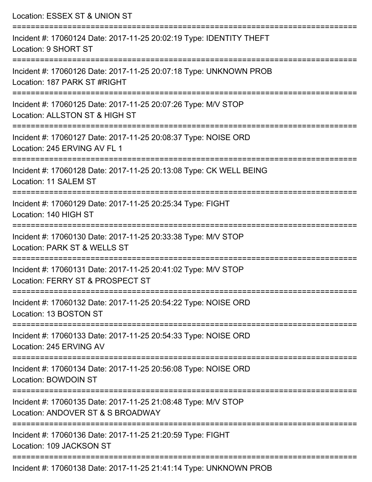| Location: ESSEX ST & UNION ST                                                                                                         |
|---------------------------------------------------------------------------------------------------------------------------------------|
| Incident #: 17060124 Date: 2017-11-25 20:02:19 Type: IDENTITY THEFT<br>Location: 9 SHORT ST                                           |
| Incident #: 17060126 Date: 2017-11-25 20:07:18 Type: UNKNOWN PROB<br>Location: 187 PARK ST #RIGHT                                     |
| Incident #: 17060125 Date: 2017-11-25 20:07:26 Type: M/V STOP<br>Location: ALLSTON ST & HIGH ST<br>================================== |
| Incident #: 17060127 Date: 2017-11-25 20:08:37 Type: NOISE ORD<br>Location: 245 ERVING AV FL 1                                        |
| Incident #: 17060128 Date: 2017-11-25 20:13:08 Type: CK WELL BEING<br>Location: 11 SALEM ST                                           |
| ================================<br>Incident #: 17060129 Date: 2017-11-25 20:25:34 Type: FIGHT<br>Location: 140 HIGH ST               |
| Incident #: 17060130 Date: 2017-11-25 20:33:38 Type: M/V STOP<br>Location: PARK ST & WELLS ST                                         |
| Incident #: 17060131 Date: 2017-11-25 20:41:02 Type: M/V STOP<br>Location: FERRY ST & PROSPECT ST                                     |
| Incident #: 17060132 Date: 2017-11-25 20:54:22 Type: NOISE ORD<br>Location: 13 BOSTON ST                                              |
| Incident #: 17060133 Date: 2017-11-25 20:54:33 Type: NOISE ORD<br>Location: 245 ERVING AV                                             |
| Incident #: 17060134 Date: 2017-11-25 20:56:08 Type: NOISE ORD<br>Location: BOWDOIN ST                                                |
| Incident #: 17060135 Date: 2017-11-25 21:08:48 Type: M/V STOP<br>Location: ANDOVER ST & S BROADWAY                                    |
| Incident #: 17060136 Date: 2017-11-25 21:20:59 Type: FIGHT<br>Location: 109 JACKSON ST                                                |
| $\mu$ , 47000420 Dete: 0047 44 OF 04:44:44 Tuge: UNII/NOMINI DDOD                                                                     |

Incident #: 17060138 Date: 2017-11-25 21:41:14 Type: UNKNOWN PROB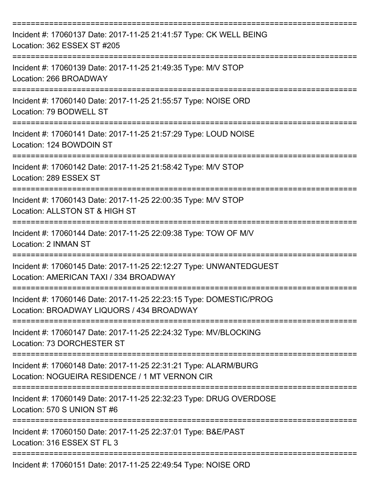| Incident #: 17060137 Date: 2017-11-25 21:41:57 Type: CK WELL BEING<br>Location: 362 ESSEX ST #205                     |
|-----------------------------------------------------------------------------------------------------------------------|
| Incident #: 17060139 Date: 2017-11-25 21:49:35 Type: M/V STOP<br>Location: 266 BROADWAY                               |
| Incident #: 17060140 Date: 2017-11-25 21:55:57 Type: NOISE ORD<br>Location: 79 BODWELL ST                             |
| Incident #: 17060141 Date: 2017-11-25 21:57:29 Type: LOUD NOISE<br>Location: 124 BOWDOIN ST                           |
| Incident #: 17060142 Date: 2017-11-25 21:58:42 Type: M/V STOP<br>Location: 289 ESSEX ST                               |
| Incident #: 17060143 Date: 2017-11-25 22:00:35 Type: M/V STOP<br>Location: ALLSTON ST & HIGH ST                       |
| Incident #: 17060144 Date: 2017-11-25 22:09:38 Type: TOW OF M/V<br>Location: 2 INMAN ST                               |
| Incident #: 17060145 Date: 2017-11-25 22:12:27 Type: UNWANTEDGUEST<br>Location: AMERICAN TAXI / 334 BROADWAY          |
| Incident #: 17060146 Date: 2017-11-25 22:23:15 Type: DOMESTIC/PROG<br>Location: BROADWAY LIQUORS / 434 BROADWAY       |
| Incident #: 17060147 Date: 2017-11-25 22:24:32 Type: MV/BLOCKING<br>Location: 73 DORCHESTER ST<br>=================== |
| Incident #: 17060148 Date: 2017-11-25 22:31:21 Type: ALARM/BURG<br>Location: NOGUEIRA RESIDENCE / 1 MT VERNON CIR     |
| Incident #: 17060149 Date: 2017-11-25 22:32:23 Type: DRUG OVERDOSE<br>Location: 570 S UNION ST #6                     |
| Incident #: 17060150 Date: 2017-11-25 22:37:01 Type: B&E/PAST<br>Location: 316 ESSEX ST FL 3                          |
| Incident #: 17060151 Date: 2017-11-25 22:49:54 Type: NOISE ORD                                                        |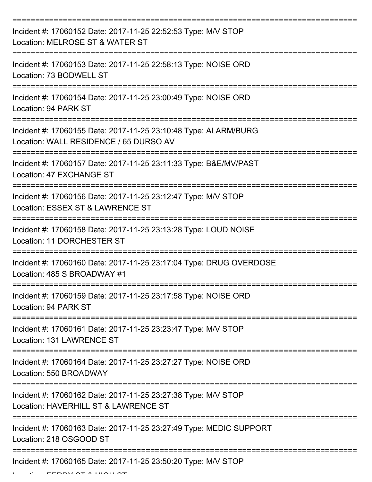| Incident #: 17060152 Date: 2017-11-25 22:52:53 Type: M/V STOP<br>Location: MELROSE ST & WATER ST                               |
|--------------------------------------------------------------------------------------------------------------------------------|
| Incident #: 17060153 Date: 2017-11-25 22:58:13 Type: NOISE ORD<br>Location: 73 BODWELL ST                                      |
| Incident #: 17060154 Date: 2017-11-25 23:00:49 Type: NOISE ORD<br>Location: 94 PARK ST                                         |
| Incident #: 17060155 Date: 2017-11-25 23:10:48 Type: ALARM/BURG<br>Location: WALL RESIDENCE / 65 DURSO AV                      |
| Incident #: 17060157 Date: 2017-11-25 23:11:33 Type: B&E/MV/PAST<br>Location: 47 EXCHANGE ST<br>============================== |
| Incident #: 17060156 Date: 2017-11-25 23:12:47 Type: M/V STOP<br>Location: ESSEX ST & LAWRENCE ST                              |
| Incident #: 17060158 Date: 2017-11-25 23:13:28 Type: LOUD NOISE<br>Location: 11 DORCHESTER ST                                  |
| Incident #: 17060160 Date: 2017-11-25 23:17:04 Type: DRUG OVERDOSE<br>Location: 485 S BROADWAY #1                              |
| Incident #: 17060159 Date: 2017-11-25 23:17:58 Type: NOISE ORD<br>Location: 94 PARK ST                                         |
| Incident #: 17060161 Date: 2017-11-25 23:23:47 Type: M/V STOP<br>Location: 131 LAWRENCE ST                                     |
| Incident #: 17060164 Date: 2017-11-25 23:27:27 Type: NOISE ORD<br>Location: 550 BROADWAY                                       |
| Incident #: 17060162 Date: 2017-11-25 23:27:38 Type: M/V STOP<br>Location: HAVERHILL ST & LAWRENCE ST                          |
| Incident #: 17060163 Date: 2017-11-25 23:27:49 Type: MEDIC SUPPORT<br>Location: 218 OSGOOD ST                                  |
| Incident #: 17060165 Date: 2017-11-25 23:50:20 Type: M/V STOP                                                                  |